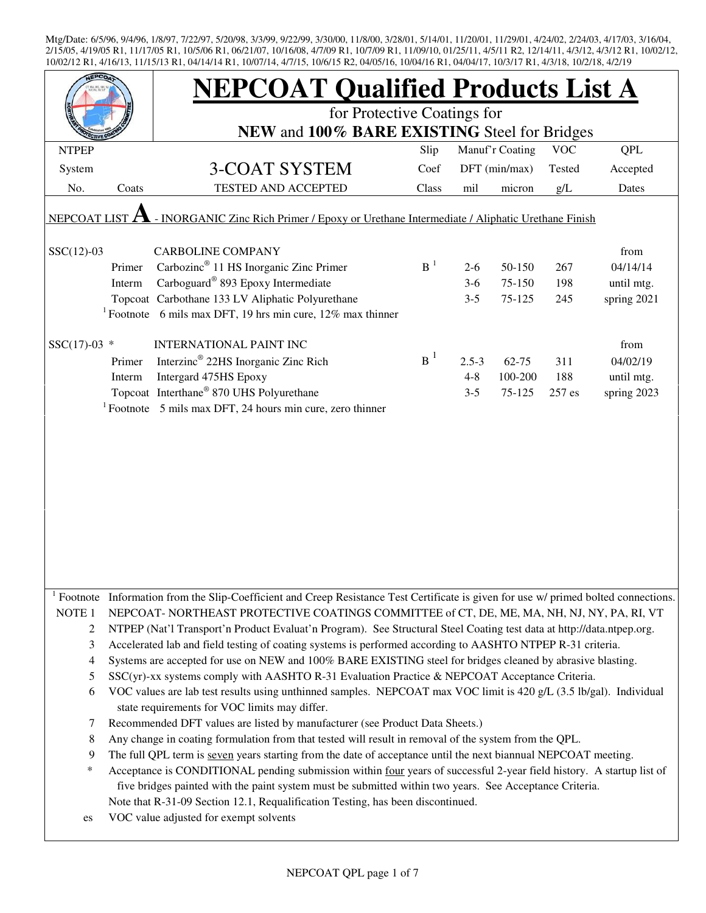|                   |        | <b>NEPCOAT Qualified Products List A</b>                                                                                                                                                                                        |       |           |                 |            |             |  |  |
|-------------------|--------|---------------------------------------------------------------------------------------------------------------------------------------------------------------------------------------------------------------------------------|-------|-----------|-----------------|------------|-------------|--|--|
|                   |        | for Protective Coatings for<br>NEW and 100% BARE EXISTING Steel for Bridges                                                                                                                                                     |       |           |                 |            |             |  |  |
| <b>NTPEP</b>      |        |                                                                                                                                                                                                                                 | Slip  |           | Manuf'r Coating | <b>VOC</b> | <b>QPL</b>  |  |  |
| System            |        | <b>3-COAT SYSTEM</b>                                                                                                                                                                                                            | Coef  |           | DFT (min/max)   | Tested     | Accepted    |  |  |
| No.               | Coats  | <b>TESTED AND ACCEPTED</b>                                                                                                                                                                                                      | Class | mil       | micron          | g/L        | Dates       |  |  |
| NEPCOAT LIST      |        | - INORGANIC Zinc Rich Primer / Epoxy or Urethane Intermediate / Aliphatic Urethane Finish                                                                                                                                       |       |           |                 |            |             |  |  |
| $SSC(12)-03$      |        | <b>CARBOLINE COMPANY</b>                                                                                                                                                                                                        |       |           |                 |            | from        |  |  |
|                   | Primer | Carbozinc <sup>®</sup> 11 HS Inorganic Zinc Primer                                                                                                                                                                              | $B-1$ | $2 - 6$   | 50-150          | 267        | 04/14/14    |  |  |
|                   | Interm | Carboguard <sup>®</sup> 893 Epoxy Intermediate                                                                                                                                                                                  |       | $3-6$     | 75-150          | 198        | until mtg.  |  |  |
|                   |        | Topcoat Carbothane 133 LV Aliphatic Polyurethane                                                                                                                                                                                |       | $3 - 5$   | 75-125          | 245        | spring 2021 |  |  |
|                   |        | <sup>1</sup> Footnote 6 mils max DFT, 19 hrs min cure, $12\%$ max thinner                                                                                                                                                       |       |           |                 |            |             |  |  |
| $SSC(17)-03$ *    |        | <b>INTERNATIONAL PAINT INC</b>                                                                                                                                                                                                  |       |           |                 |            | from        |  |  |
|                   | Primer | Interzinc <sup>®</sup> 22HS Inorganic Zinc Rich                                                                                                                                                                                 | $B^1$ | $2.5 - 3$ | $62 - 75$       | 311        | 04/02/19    |  |  |
|                   | Interm | Intergard 475HS Epoxy                                                                                                                                                                                                           |       | $4 - 8$   | 100-200         | 188        | until mtg.  |  |  |
|                   |        | Topcoat Interthane® 870 UHS Polyurethane                                                                                                                                                                                        |       | $3 - 5$   | 75-125          | 257 es     | spring 2023 |  |  |
|                   |        | $1$ Footnote 5 mils max DFT, 24 hours min cure, zero thinner                                                                                                                                                                    |       |           |                 |            |             |  |  |
|                   |        |                                                                                                                                                                                                                                 |       |           |                 |            |             |  |  |
|                   |        | <sup>1</sup> Footnote Information from the Slip-Coefficient and Creep Resistance Test Certificate is given for use w/ primed bolted connections.                                                                                |       |           |                 |            |             |  |  |
| NOTE <sub>1</sub> |        | NEPCOAT-NORTHEAST PROTECTIVE COATINGS COMMITTEE of CT, DE, ME, MA, NH, NJ, NY, PA, RI, VT                                                                                                                                       |       |           |                 |            |             |  |  |
| $\overline{c}$    |        | NTPEP (Nat'l Transport'n Product Evaluat'n Program). See Structural Steel Coating test data at http://data.ntpep.org.                                                                                                           |       |           |                 |            |             |  |  |
| 3                 |        | Accelerated lab and field testing of coating systems is performed according to AASHTO NTPEP R-31 criteria.                                                                                                                      |       |           |                 |            |             |  |  |
| 4                 |        | Systems are accepted for use on NEW and 100% BARE EXISTING steel for bridges cleaned by abrasive blasting.                                                                                                                      |       |           |                 |            |             |  |  |
| 5                 |        | SSC(yr)-xx systems comply with AASHTO R-31 Evaluation Practice & NEPCOAT Acceptance Criteria.                                                                                                                                   |       |           |                 |            |             |  |  |
| 6                 |        | VOC values are lab test results using unthinned samples. NEPCOAT max VOC limit is 420 g/L (3.5 lb/gal). Individual<br>state requirements for VOC limits may differ.                                                             |       |           |                 |            |             |  |  |
| 7                 |        | Recommended DFT values are listed by manufacturer (see Product Data Sheets.)                                                                                                                                                    |       |           |                 |            |             |  |  |
| 8                 |        | Any change in coating formulation from that tested will result in removal of the system from the QPL.                                                                                                                           |       |           |                 |            |             |  |  |
| 9                 |        | The full QPL term is seven years starting from the date of acceptance until the next biannual NEPCOAT meeting.                                                                                                                  |       |           |                 |            |             |  |  |
| *                 |        | Acceptance is CONDITIONAL pending submission within four years of successful 2-year field history. A startup list of<br>five bridges painted with the paint system must be submitted within two years. See Acceptance Criteria. |       |           |                 |            |             |  |  |
|                   |        | Note that R-31-09 Section 12.1, Requalification Testing, has been discontinued.                                                                                                                                                 |       |           |                 |            |             |  |  |
| es                |        | VOC value adjusted for exempt solvents                                                                                                                                                                                          |       |           |                 |            |             |  |  |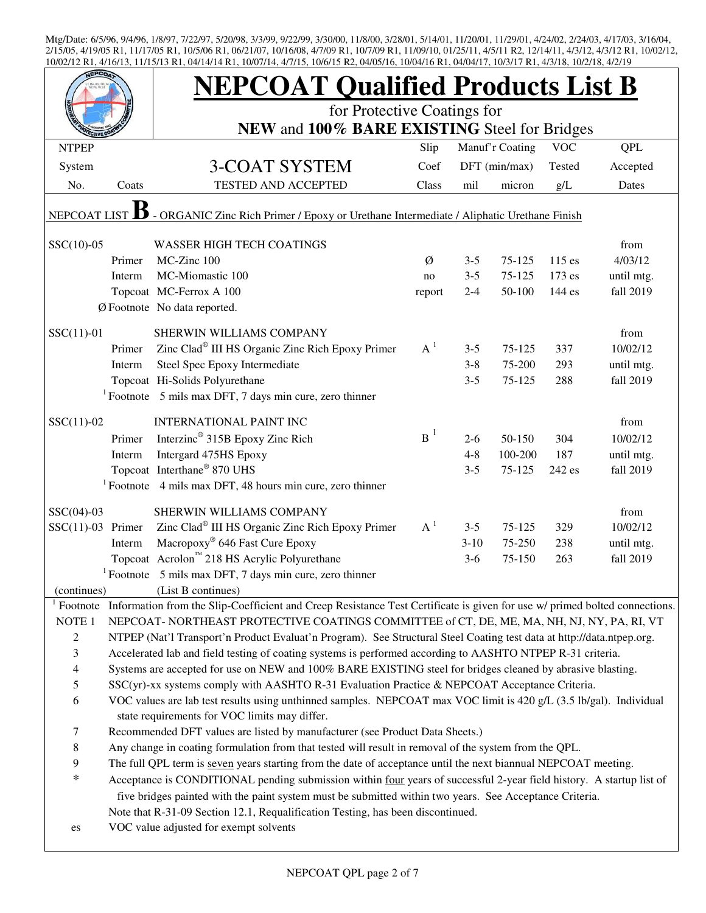|                          |                                                                                               | <b>NEPCOAT Qualified Products List B</b>                                                                                                                            |        |         |                 |            |            |  |  |
|--------------------------|-----------------------------------------------------------------------------------------------|---------------------------------------------------------------------------------------------------------------------------------------------------------------------|--------|---------|-----------------|------------|------------|--|--|
|                          |                                                                                               | for Protective Coatings for<br>NEW and 100% BARE EXISTING Steel for Bridges                                                                                         |        |         |                 |            |            |  |  |
| <b>NTPEP</b>             |                                                                                               |                                                                                                                                                                     | Slip   |         | Manuf'r Coating | <b>VOC</b> | QPL        |  |  |
|                          |                                                                                               |                                                                                                                                                                     | Coef   |         | DFT (min/max)   |            |            |  |  |
| System                   |                                                                                               | 3-COAT SYSTEM<br><b>TESTED AND ACCEPTED</b>                                                                                                                         |        |         |                 | Tested     | Accepted   |  |  |
| No.                      | Coats                                                                                         |                                                                                                                                                                     | Class  | mil     | micron          | g/L        | Dates      |  |  |
| <b>NEPCOAT LIST</b>      |                                                                                               | - ORGANIC Zinc Rich Primer / Epoxy or Urethane Intermediate / Aliphatic Urethane Finish                                                                             |        |         |                 |            |            |  |  |
| $SSC(10)-05$             |                                                                                               | <b>WASSER HIGH TECH COATINGS</b>                                                                                                                                    |        |         |                 |            | from       |  |  |
|                          | Primer                                                                                        | MC-Zinc 100                                                                                                                                                         | Ø      | $3 - 5$ | 75-125          | 115 es     | 4/03/12    |  |  |
|                          | Interm                                                                                        | MC-Miomastic 100                                                                                                                                                    | no     | $3 - 5$ | 75-125          | 173 es     | until mtg. |  |  |
|                          |                                                                                               | Topcoat MC-Ferrox A 100                                                                                                                                             | report | $2 - 4$ | 50-100          | 144 es     | fall 2019  |  |  |
|                          |                                                                                               | Ø Footnote No data reported.                                                                                                                                        |        |         |                 |            |            |  |  |
| $SSC(11)-01$             |                                                                                               | SHERWIN WILLIAMS COMPANY                                                                                                                                            |        |         |                 |            | from       |  |  |
|                          | Primer                                                                                        | Zinc Clad® III HS Organic Zinc Rich Epoxy Primer                                                                                                                    | $A^1$  | $3 - 5$ | 75-125          | 337        | 10/02/12   |  |  |
|                          | Interm                                                                                        | Steel Spec Epoxy Intermediate                                                                                                                                       |        | $3 - 8$ | 75-200          | 293        | until mtg. |  |  |
|                          |                                                                                               | Topcoat Hi-Solids Polyurethane                                                                                                                                      |        | $3 - 5$ | 75-125          | 288        | fall 2019  |  |  |
|                          |                                                                                               | $1$ Footnote 5 mils max DFT, 7 days min cure, zero thinner                                                                                                          |        |         |                 |            |            |  |  |
| $SSC(11)-02$             |                                                                                               | <b>INTERNATIONAL PAINT INC</b>                                                                                                                                      |        |         |                 |            | from       |  |  |
|                          | Primer                                                                                        | Interzinc <sup>®</sup> 315B Epoxy Zinc Rich                                                                                                                         | $B^1$  | $2-6$   | 50-150          | 304        | 10/02/12   |  |  |
|                          | Interm                                                                                        | Intergard 475HS Epoxy                                                                                                                                               |        | $4 - 8$ | 100-200         | 187        | until mtg. |  |  |
|                          |                                                                                               | Topcoat Interthane® 870 UHS                                                                                                                                         |        | $3 - 5$ | 75-125          | 242 es     | fall 2019  |  |  |
|                          |                                                                                               | <sup>1</sup> Footnote $\,$ 4 mils max DFT, 48 hours min cure, zero thinner                                                                                          |        |         |                 |            |            |  |  |
| $SSC(04)-03$             |                                                                                               | SHERWIN WILLIAMS COMPANY                                                                                                                                            |        |         |                 |            | from       |  |  |
| $SSC(11)-03$ Primer      |                                                                                               | Zinc Clad <sup>®</sup> III HS Organic Zinc Rich Epoxy Primer                                                                                                        | $A^1$  | $3 - 5$ | $75 - 125$      | 329        | 10/02/12   |  |  |
|                          | Interm                                                                                        | Macropoxy® 646 Fast Cure Epoxy                                                                                                                                      |        | $3-10$  | 75-250          | 238        | until mtg. |  |  |
|                          |                                                                                               | Topcoat Acrolon™ 218 HS Acrylic Polyurethane                                                                                                                        |        | $3-6$   | 75-150          | 263        | fall 2019  |  |  |
|                          |                                                                                               | <sup>1</sup> Footnote $\overline{5}$ mils max DFT, 7 days min cure, zero thinner                                                                                    |        |         |                 |            |            |  |  |
| (continues)              |                                                                                               | (List B continues)                                                                                                                                                  |        |         |                 |            |            |  |  |
| Footnote                 |                                                                                               | Information from the Slip-Coefficient and Creep Resistance Test Certificate is given for use w/ primed bolted connections.                                          |        |         |                 |            |            |  |  |
| NOTE <sub>1</sub>        |                                                                                               | NEPCOAT-NORTHEAST PROTECTIVE COATINGS COMMITTEE of CT, DE, ME, MA, NH, NJ, NY, PA, RI, VT                                                                           |        |         |                 |            |            |  |  |
| $\overline{c}$           |                                                                                               | NTPEP (Nat'l Transport'n Product Evaluat'n Program). See Structural Steel Coating test data at http://data.ntpep.org.                                               |        |         |                 |            |            |  |  |
| 3                        |                                                                                               | Accelerated lab and field testing of coating systems is performed according to AASHTO NTPEP R-31 criteria.                                                          |        |         |                 |            |            |  |  |
| $\overline{\mathcal{A}}$ |                                                                                               | Systems are accepted for use on NEW and 100% BARE EXISTING steel for bridges cleaned by abrasive blasting.                                                          |        |         |                 |            |            |  |  |
| 5                        | SSC(yr)-xx systems comply with AASHTO R-31 Evaluation Practice & NEPCOAT Acceptance Criteria. |                                                                                                                                                                     |        |         |                 |            |            |  |  |
| 6                        |                                                                                               | VOC values are lab test results using unthinned samples. NEPCOAT max VOC limit is 420 g/L (3.5 lb/gal). Individual<br>state requirements for VOC limits may differ. |        |         |                 |            |            |  |  |
| 7                        |                                                                                               | Recommended DFT values are listed by manufacturer (see Product Data Sheets.)                                                                                        |        |         |                 |            |            |  |  |
| 8                        |                                                                                               | Any change in coating formulation from that tested will result in removal of the system from the QPL.                                                               |        |         |                 |            |            |  |  |
| 9                        |                                                                                               | The full QPL term is seven years starting from the date of acceptance until the next biannual NEPCOAT meeting.                                                      |        |         |                 |            |            |  |  |
| $\ast$                   |                                                                                               | Acceptance is CONDITIONAL pending submission within four years of successful 2-year field history. A startup list of                                                |        |         |                 |            |            |  |  |
|                          |                                                                                               | five bridges painted with the paint system must be submitted within two years. See Acceptance Criteria.                                                             |        |         |                 |            |            |  |  |
|                          |                                                                                               | Note that R-31-09 Section 12.1, Requalification Testing, has been discontinued.                                                                                     |        |         |                 |            |            |  |  |
| es                       |                                                                                               | VOC value adjusted for exempt solvents                                                                                                                              |        |         |                 |            |            |  |  |
|                          |                                                                                               |                                                                                                                                                                     |        |         |                 |            |            |  |  |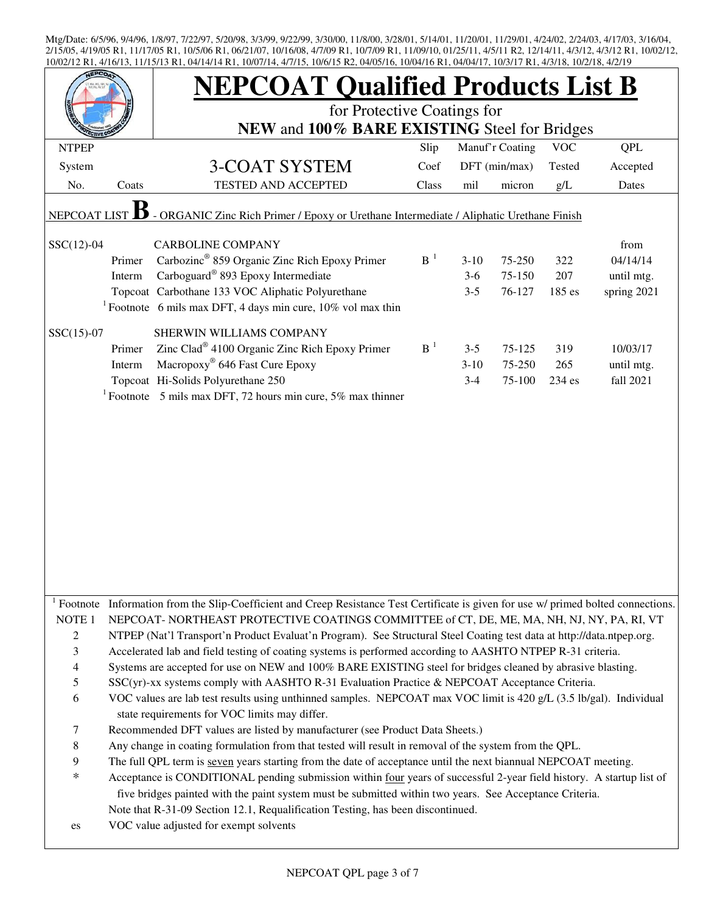|                                                                                                         |        | <b>NEPCOAT Qualified Products List B</b><br>for Protective Coatings for<br>NEW and 100% BARE EXISTING Steel for Bridges                                                                                                                                                                                                                                      |          |         |                 |            |             |  |  |
|---------------------------------------------------------------------------------------------------------|--------|--------------------------------------------------------------------------------------------------------------------------------------------------------------------------------------------------------------------------------------------------------------------------------------------------------------------------------------------------------------|----------|---------|-----------------|------------|-------------|--|--|
|                                                                                                         |        |                                                                                                                                                                                                                                                                                                                                                              |          |         |                 | <b>VOC</b> | QPL         |  |  |
| <b>NTPEP</b>                                                                                            |        |                                                                                                                                                                                                                                                                                                                                                              | Slip     |         | Manuf'r Coating |            |             |  |  |
| System                                                                                                  |        | <b>3-COAT SYSTEM</b>                                                                                                                                                                                                                                                                                                                                         | Coef     |         | DFT (min/max)   | Tested     | Accepted    |  |  |
| No.                                                                                                     | Coats  | TESTED AND ACCEPTED                                                                                                                                                                                                                                                                                                                                          | Class    | mil     | micron          | g/L        | Dates       |  |  |
| - ORGANIC Zinc Rich Primer / Epoxy or Urethane Intermediate / Aliphatic Urethane Finish<br>NEPCOAT LIST |        |                                                                                                                                                                                                                                                                                                                                                              |          |         |                 |            |             |  |  |
| $SSC(12)-04$                                                                                            |        | <b>CARBOLINE COMPANY</b>                                                                                                                                                                                                                                                                                                                                     |          |         |                 |            | from        |  |  |
|                                                                                                         | Primer | Carbozinc <sup>®</sup> 859 Organic Zinc Rich Epoxy Primer                                                                                                                                                                                                                                                                                                    | $B^{-1}$ | $3-10$  | 75-250          | 322        | 04/14/14    |  |  |
|                                                                                                         | Interm | Carboguard® 893 Epoxy Intermediate                                                                                                                                                                                                                                                                                                                           |          | $3-6$   | 75-150          | 207        | until mtg.  |  |  |
|                                                                                                         |        | Topcoat Carbothane 133 VOC Aliphatic Polyurethane                                                                                                                                                                                                                                                                                                            |          | $3 - 5$ | 76-127          | 185 es     | spring 2021 |  |  |
|                                                                                                         |        | <sup>1</sup> Footnote 6 mils max DFT, 4 days min cure, $10\%$ vol max thin                                                                                                                                                                                                                                                                                   |          |         |                 |            |             |  |  |
|                                                                                                         |        |                                                                                                                                                                                                                                                                                                                                                              |          |         |                 |            |             |  |  |
| $SSC(15)-07$                                                                                            |        | SHERWIN WILLIAMS COMPANY                                                                                                                                                                                                                                                                                                                                     |          |         |                 |            |             |  |  |
|                                                                                                         | Primer | Zinc Clad <sup>®</sup> 4100 Organic Zinc Rich Epoxy Primer                                                                                                                                                                                                                                                                                                   | $B-1$    | $3 - 5$ | 75-125          | 319        | 10/03/17    |  |  |
|                                                                                                         | Interm | Macropoxy® 646 Fast Cure Epoxy                                                                                                                                                                                                                                                                                                                               |          | $3-10$  | 75-250          | 265        | until mtg.  |  |  |
|                                                                                                         |        | Topcoat Hi-Solids Polyurethane 250                                                                                                                                                                                                                                                                                                                           |          | $3 - 4$ | 75-100          | 234 es     | fall 2021   |  |  |
|                                                                                                         |        | <sup>1</sup> Footnote 5 mils max DFT, 72 hours min cure, 5% max thinner                                                                                                                                                                                                                                                                                      |          |         |                 |            |             |  |  |
|                                                                                                         |        |                                                                                                                                                                                                                                                                                                                                                              |          |         |                 |            |             |  |  |
|                                                                                                         |        | Footnote Information from the Slip-Coefficient and Creep Resistance Test Certificate is given for use w/ primed bolted connections.                                                                                                                                                                                                                          |          |         |                 |            |             |  |  |
| NOTE <sub>1</sub>                                                                                       |        | NEPCOAT-NORTHEAST PROTECTIVE COATINGS COMMITTEE of CT, DE, ME, MA, NH, NJ, NY, PA, RI, VT                                                                                                                                                                                                                                                                    |          |         |                 |            |             |  |  |
| 2                                                                                                       |        | NTPEP (Nat'l Transport'n Product Evaluat'n Program). See Structural Steel Coating test data at http://data.ntpep.org.                                                                                                                                                                                                                                        |          |         |                 |            |             |  |  |
| $\mathfrak{Z}$                                                                                          |        | Accelerated lab and field testing of coating systems is performed according to AASHTO NTPEP R-31 criteria.                                                                                                                                                                                                                                                   |          |         |                 |            |             |  |  |
| $\overline{4}$                                                                                          |        | Systems are accepted for use on NEW and 100% BARE EXISTING steel for bridges cleaned by abrasive blasting.                                                                                                                                                                                                                                                   |          |         |                 |            |             |  |  |
| $\mathfrak s$                                                                                           |        | SSC(yr)-xx systems comply with AASHTO R-31 Evaluation Practice & NEPCOAT Acceptance Criteria.                                                                                                                                                                                                                                                                |          |         |                 |            |             |  |  |
| 6                                                                                                       |        | VOC values are lab test results using unthinned samples. NEPCOAT max VOC limit is 420 g/L (3.5 lb/gal). Individual                                                                                                                                                                                                                                           |          |         |                 |            |             |  |  |
|                                                                                                         |        | state requirements for VOC limits may differ.                                                                                                                                                                                                                                                                                                                |          |         |                 |            |             |  |  |
| $\tau$                                                                                                  |        | Recommended DFT values are listed by manufacturer (see Product Data Sheets.)                                                                                                                                                                                                                                                                                 |          |         |                 |            |             |  |  |
| $\,$ 8 $\,$                                                                                             |        | Any change in coating formulation from that tested will result in removal of the system from the QPL.                                                                                                                                                                                                                                                        |          |         |                 |            |             |  |  |
| 9                                                                                                       |        | The full QPL term is seven years starting from the date of acceptance until the next biannual NEPCOAT meeting.                                                                                                                                                                                                                                               |          |         |                 |            |             |  |  |
| $\ast$<br>es                                                                                            |        | Acceptance is CONDITIONAL pending submission within four years of successful 2-year field history. A startup list of<br>five bridges painted with the paint system must be submitted within two years. See Acceptance Criteria.<br>Note that R-31-09 Section 12.1, Requalification Testing, has been discontinued.<br>VOC value adjusted for exempt solvents |          |         |                 |            |             |  |  |
|                                                                                                         |        |                                                                                                                                                                                                                                                                                                                                                              |          |         |                 |            |             |  |  |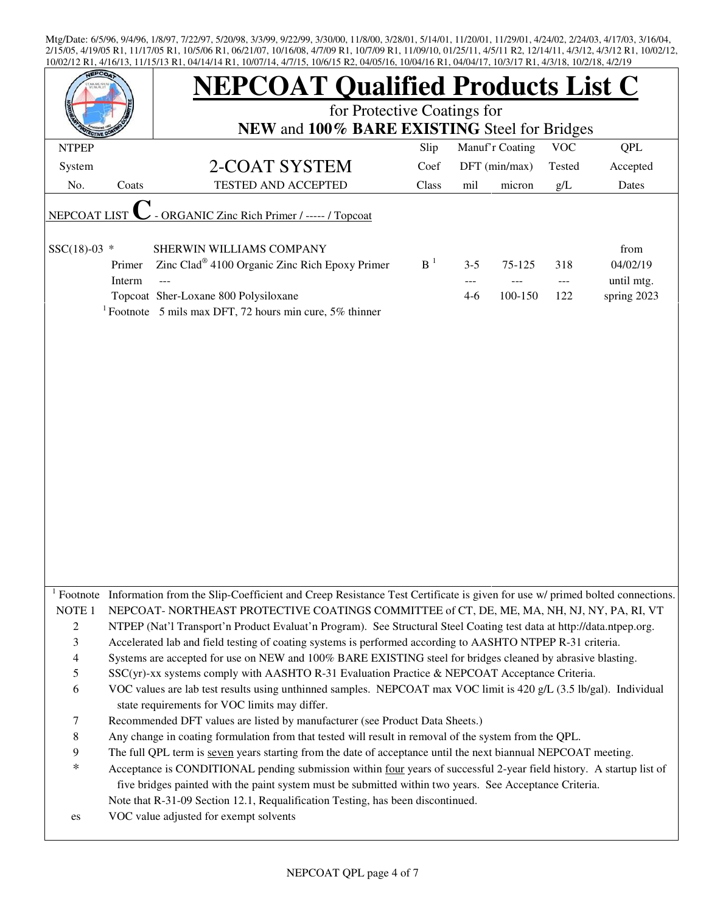|                               |        | <b>NEPCOAT Qualified Products List C</b>                                                                                                                                                                    |                |                 |               |            |             |  |  |  |
|-------------------------------|--------|-------------------------------------------------------------------------------------------------------------------------------------------------------------------------------------------------------------|----------------|-----------------|---------------|------------|-------------|--|--|--|
|                               |        | for Protective Coatings for                                                                                                                                                                                 |                |                 |               |            |             |  |  |  |
|                               |        | NEW and 100% BARE EXISTING Steel for Bridges                                                                                                                                                                |                |                 |               |            |             |  |  |  |
| <b>NTPEP</b>                  |        |                                                                                                                                                                                                             | Slip           | Manuf'r Coating | <b>VOC</b>    | <b>QPL</b> |             |  |  |  |
| System                        |        | 2-COAT SYSTEM                                                                                                                                                                                               | Coef           |                 | DFT (min/max) | Tested     | Accepted    |  |  |  |
| No.                           | Coats  | <b>TESTED AND ACCEPTED</b>                                                                                                                                                                                  | Class          | mil             | micron        | g/L        | Dates       |  |  |  |
| NEPCOAT LIST                  |        | - ORGANIC Zinc Rich Primer / ----- / Topcoat                                                                                                                                                                |                |                 |               |            |             |  |  |  |
|                               |        |                                                                                                                                                                                                             |                |                 |               |            |             |  |  |  |
| $SSC(18)-03$ *                |        | SHERWIN WILLIAMS COMPANY                                                                                                                                                                                    |                |                 |               |            | from        |  |  |  |
|                               | Primer | Zinc Clad <sup>®</sup> 4100 Organic Zinc Rich Epoxy Primer                                                                                                                                                  | B <sup>1</sup> | $3 - 5$         | 75-125        | 318        | 04/02/19    |  |  |  |
|                               | Interm |                                                                                                                                                                                                             |                |                 |               | $---$      | until mtg.  |  |  |  |
|                               |        | Topcoat Sher-Loxane 800 Polysiloxane                                                                                                                                                                        |                | $4-6$           | 100-150       | 122        | spring 2023 |  |  |  |
|                               |        | <sup>1</sup> Footnote 5 mils max DFT, 72 hours min cure, 5% thinner                                                                                                                                         |                |                 |               |            |             |  |  |  |
|                               |        |                                                                                                                                                                                                             |                |                 |               |            |             |  |  |  |
|                               |        |                                                                                                                                                                                                             |                |                 |               |            |             |  |  |  |
|                               |        |                                                                                                                                                                                                             |                |                 |               |            |             |  |  |  |
|                               |        |                                                                                                                                                                                                             |                |                 |               |            |             |  |  |  |
|                               |        |                                                                                                                                                                                                             |                |                 |               |            |             |  |  |  |
|                               |        |                                                                                                                                                                                                             |                |                 |               |            |             |  |  |  |
|                               |        |                                                                                                                                                                                                             |                |                 |               |            |             |  |  |  |
|                               |        |                                                                                                                                                                                                             |                |                 |               |            |             |  |  |  |
|                               |        |                                                                                                                                                                                                             |                |                 |               |            |             |  |  |  |
|                               |        |                                                                                                                                                                                                             |                |                 |               |            |             |  |  |  |
|                               |        |                                                                                                                                                                                                             |                |                 |               |            |             |  |  |  |
|                               |        |                                                                                                                                                                                                             |                |                 |               |            |             |  |  |  |
|                               |        |                                                                                                                                                                                                             |                |                 |               |            |             |  |  |  |
|                               |        |                                                                                                                                                                                                             |                |                 |               |            |             |  |  |  |
|                               |        |                                                                                                                                                                                                             |                |                 |               |            |             |  |  |  |
|                               |        |                                                                                                                                                                                                             |                |                 |               |            |             |  |  |  |
|                               |        | Footnote Information from the Slip-Coefficient and Creep Resistance Test Certificate is given for use w/ primed bolted connections.                                                                         |                |                 |               |            |             |  |  |  |
| NOTE <sub>1</sub>             |        | NEPCOAT-NORTHEAST PROTECTIVE COATINGS COMMITTEE of CT, DE, ME, MA, NH, NJ, NY, PA, RI, VT                                                                                                                   |                |                 |               |            |             |  |  |  |
| $\overline{c}$                |        | NTPEP (Nat'l Transport'n Product Evaluat'n Program). See Structural Steel Coating test data at http://data.ntpep.org.                                                                                       |                |                 |               |            |             |  |  |  |
| 3                             |        | Accelerated lab and field testing of coating systems is performed according to AASHTO NTPEP R-31 criteria.                                                                                                  |                |                 |               |            |             |  |  |  |
|                               |        |                                                                                                                                                                                                             |                |                 |               |            |             |  |  |  |
| $\overline{\mathcal{L}}$<br>5 |        | Systems are accepted for use on NEW and 100% BARE EXISTING steel for bridges cleaned by abrasive blasting.<br>SSC(yr)-xx systems comply with AASHTO R-31 Evaluation Practice & NEPCOAT Acceptance Criteria. |                |                 |               |            |             |  |  |  |
| 6                             |        | VOC values are lab test results using unthinned samples. NEPCOAT max VOC limit is 420 g/L (3.5 lb/gal). Individual                                                                                          |                |                 |               |            |             |  |  |  |
|                               |        | state requirements for VOC limits may differ.                                                                                                                                                               |                |                 |               |            |             |  |  |  |
| 7                             |        | Recommended DFT values are listed by manufacturer (see Product Data Sheets.)                                                                                                                                |                |                 |               |            |             |  |  |  |
| 8                             |        | Any change in coating formulation from that tested will result in removal of the system from the QPL.                                                                                                       |                |                 |               |            |             |  |  |  |
| 9                             |        | The full QPL term is seven years starting from the date of acceptance until the next biannual NEPCOAT meeting.                                                                                              |                |                 |               |            |             |  |  |  |
| $\ast$                        |        | Acceptance is CONDITIONAL pending submission within four years of successful 2-year field history. A startup list of                                                                                        |                |                 |               |            |             |  |  |  |
|                               |        |                                                                                                                                                                                                             |                |                 |               |            |             |  |  |  |
|                               |        | five bridges painted with the paint system must be submitted within two years. See Acceptance Criteria.<br>Note that R-31-09 Section 12.1, Requalification Testing, has been discontinued.                  |                |                 |               |            |             |  |  |  |
|                               |        |                                                                                                                                                                                                             |                |                 |               |            |             |  |  |  |
| es                            |        | VOC value adjusted for exempt solvents                                                                                                                                                                      |                |                 |               |            |             |  |  |  |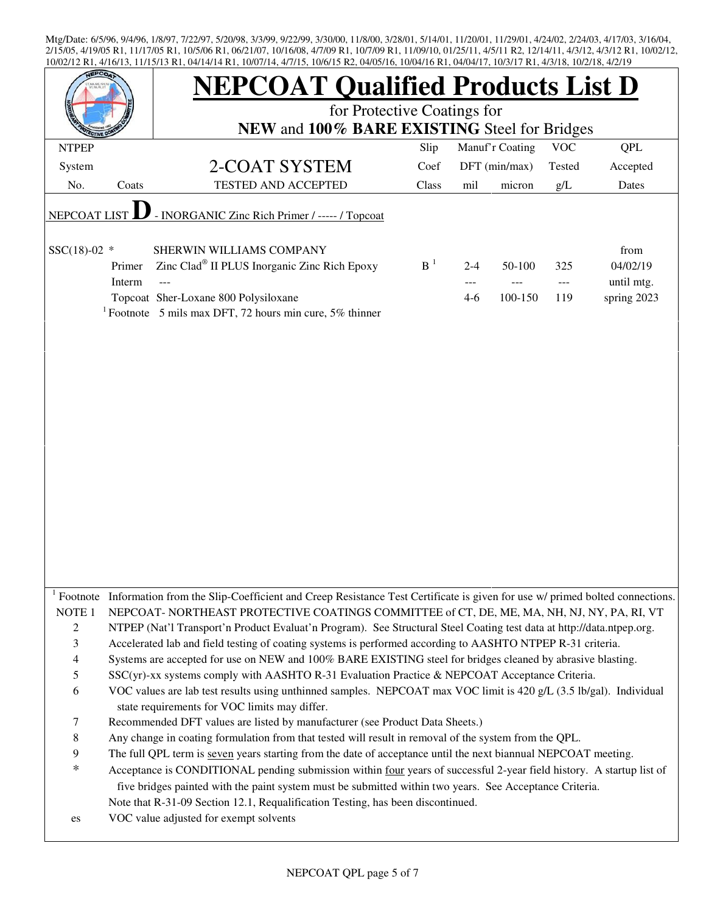|                          |                                                                                                                         | <b>NEPCOAT Qualified Products List D</b>                                                                                            |       |         |                 |        |             |  |  |  |
|--------------------------|-------------------------------------------------------------------------------------------------------------------------|-------------------------------------------------------------------------------------------------------------------------------------|-------|---------|-----------------|--------|-------------|--|--|--|
|                          |                                                                                                                         | for Protective Coatings for                                                                                                         |       |         |                 |        |             |  |  |  |
|                          |                                                                                                                         | NEW and 100% BARE EXISTING Steel for Bridges                                                                                        |       |         |                 |        |             |  |  |  |
| <b>NTPEP</b>             |                                                                                                                         |                                                                                                                                     | Slip  |         | Manuf'r Coating | QPL    |             |  |  |  |
| System                   |                                                                                                                         | 2-COAT SYSTEM                                                                                                                       | Coef  |         | DFT (min/max)   | Tested | Accepted    |  |  |  |
| No.                      | Coats                                                                                                                   | TESTED AND ACCEPTED                                                                                                                 | Class | mil     | micron          | g/L    | Dates       |  |  |  |
| NEPCOAT LIST             |                                                                                                                         | - INORGANIC Zinc Rich Primer / ----- / Topcoat                                                                                      |       |         |                 |        |             |  |  |  |
|                          |                                                                                                                         |                                                                                                                                     |       |         |                 |        |             |  |  |  |
| $SSC(18)-02$ *           |                                                                                                                         | SHERWIN WILLIAMS COMPANY                                                                                                            |       |         |                 |        | from        |  |  |  |
|                          | Primer                                                                                                                  | Zinc Clad <sup>®</sup> II PLUS Inorganic Zinc Rich Epoxy                                                                            | $B-1$ | $2 - 4$ | 50-100          | 325    | 04/02/19    |  |  |  |
|                          | Interm                                                                                                                  |                                                                                                                                     |       |         |                 |        | until mtg.  |  |  |  |
|                          |                                                                                                                         | Topcoat Sher-Loxane 800 Polysiloxane                                                                                                |       | $4-6$   | 100-150         | 119    | spring 2023 |  |  |  |
|                          |                                                                                                                         | <sup>1</sup> Footnote 5 mils max DFT, 72 hours min cure, 5% thinner                                                                 |       |         |                 |        |             |  |  |  |
|                          |                                                                                                                         |                                                                                                                                     |       |         |                 |        |             |  |  |  |
|                          |                                                                                                                         |                                                                                                                                     |       |         |                 |        |             |  |  |  |
|                          |                                                                                                                         |                                                                                                                                     |       |         |                 |        |             |  |  |  |
|                          |                                                                                                                         |                                                                                                                                     |       |         |                 |        |             |  |  |  |
|                          |                                                                                                                         |                                                                                                                                     |       |         |                 |        |             |  |  |  |
|                          |                                                                                                                         |                                                                                                                                     |       |         |                 |        |             |  |  |  |
|                          |                                                                                                                         |                                                                                                                                     |       |         |                 |        |             |  |  |  |
|                          |                                                                                                                         |                                                                                                                                     |       |         |                 |        |             |  |  |  |
|                          |                                                                                                                         |                                                                                                                                     |       |         |                 |        |             |  |  |  |
|                          |                                                                                                                         |                                                                                                                                     |       |         |                 |        |             |  |  |  |
|                          |                                                                                                                         |                                                                                                                                     |       |         |                 |        |             |  |  |  |
|                          |                                                                                                                         |                                                                                                                                     |       |         |                 |        |             |  |  |  |
|                          |                                                                                                                         |                                                                                                                                     |       |         |                 |        |             |  |  |  |
|                          |                                                                                                                         |                                                                                                                                     |       |         |                 |        |             |  |  |  |
|                          |                                                                                                                         |                                                                                                                                     |       |         |                 |        |             |  |  |  |
|                          |                                                                                                                         |                                                                                                                                     |       |         |                 |        |             |  |  |  |
|                          |                                                                                                                         |                                                                                                                                     |       |         |                 |        |             |  |  |  |
|                          |                                                                                                                         | Footnote Information from the Slip-Coefficient and Creep Resistance Test Certificate is given for use w/ primed bolted connections. |       |         |                 |        |             |  |  |  |
| NOTE <sub>1</sub>        |                                                                                                                         | NEPCOAT-NORTHEAST PROTECTIVE COATINGS COMMITTEE of CT, DE, ME, MA, NH, NJ, NY, PA, RI, VT                                           |       |         |                 |        |             |  |  |  |
| 2                        |                                                                                                                         | NTPEP (Nat'l Transport'n Product Evaluat'n Program). See Structural Steel Coating test data at http://data.ntpep.org.               |       |         |                 |        |             |  |  |  |
| 3                        |                                                                                                                         | Accelerated lab and field testing of coating systems is performed according to AASHTO NTPEP R-31 criteria.                          |       |         |                 |        |             |  |  |  |
| $\overline{\mathcal{A}}$ |                                                                                                                         | Systems are accepted for use on NEW and 100% BARE EXISTING steel for bridges cleaned by abrasive blasting.                          |       |         |                 |        |             |  |  |  |
| 5                        |                                                                                                                         | SSC(yr)-xx systems comply with AASHTO R-31 Evaluation Practice & NEPCOAT Acceptance Criteria.                                       |       |         |                 |        |             |  |  |  |
|                          | 6<br>VOC values are lab test results using unthinned samples. NEPCOAT max VOC limit is 420 g/L (3.5 lb/gal). Individual |                                                                                                                                     |       |         |                 |        |             |  |  |  |
|                          |                                                                                                                         | state requirements for VOC limits may differ.                                                                                       |       |         |                 |        |             |  |  |  |
| 7                        |                                                                                                                         | Recommended DFT values are listed by manufacturer (see Product Data Sheets.)                                                        |       |         |                 |        |             |  |  |  |
| 8<br>9                   |                                                                                                                         | Any change in coating formulation from that tested will result in removal of the system from the QPL.                               |       |         |                 |        |             |  |  |  |
| $\ast$                   |                                                                                                                         | The full QPL term is seven years starting from the date of acceptance until the next biannual NEPCOAT meeting.                      |       |         |                 |        |             |  |  |  |
|                          |                                                                                                                         | Acceptance is CONDITIONAL pending submission within four years of successful 2-year field history. A startup list of                |       |         |                 |        |             |  |  |  |
|                          |                                                                                                                         | five bridges painted with the paint system must be submitted within two years. See Acceptance Criteria.                             |       |         |                 |        |             |  |  |  |
|                          |                                                                                                                         | Note that R-31-09 Section 12.1, Requalification Testing, has been discontinued.                                                     |       |         |                 |        |             |  |  |  |
| es                       |                                                                                                                         | VOC value adjusted for exempt solvents                                                                                              |       |         |                 |        |             |  |  |  |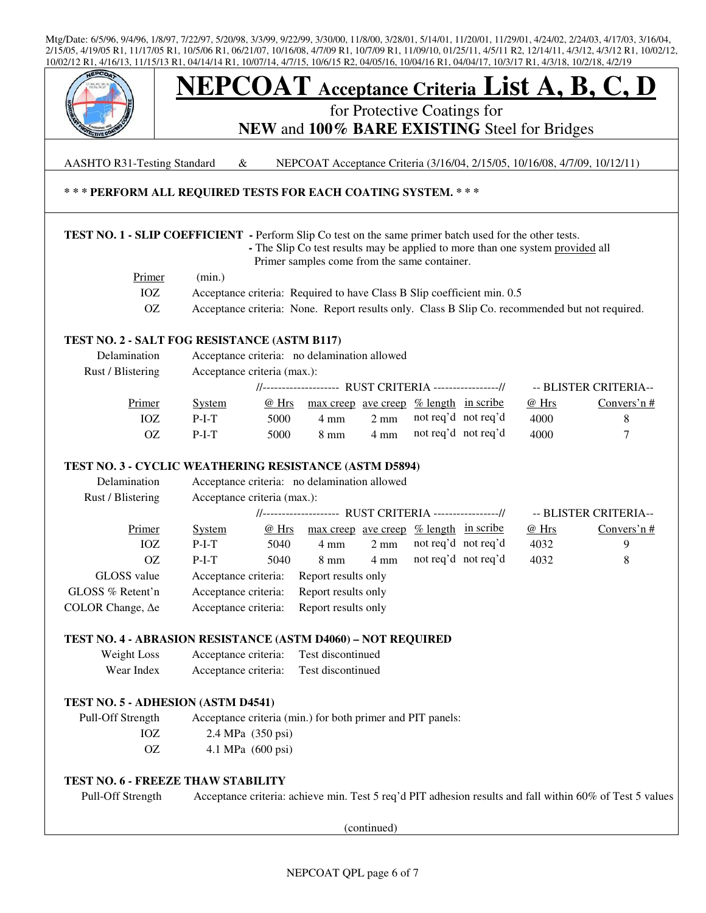